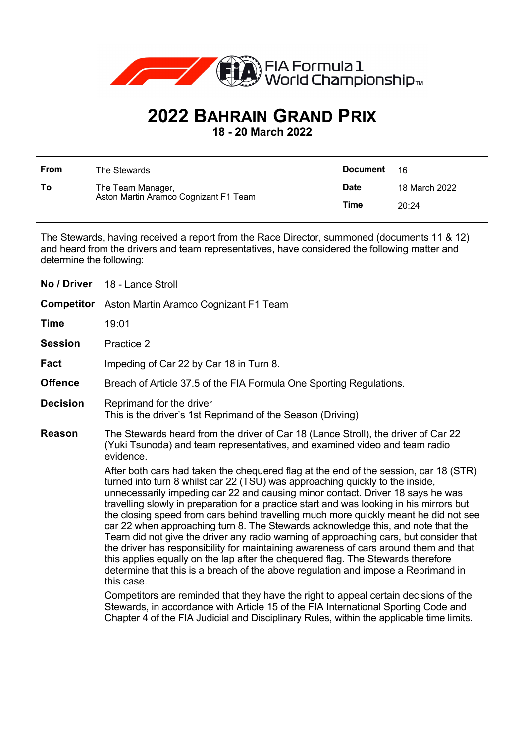

## **2022 BAHRAIN GRAND PRIX**

**18 - 20 March 2022**

| <b>From</b> | The Stewards                                               | <b>Document</b> | 16            |
|-------------|------------------------------------------------------------|-----------------|---------------|
| To          | The Team Manager,<br>Aston Martin Aramco Cognizant F1 Team | <b>Date</b>     | 18 March 2022 |
|             |                                                            | Time            | 20:24         |

The Stewards, having received a report from the Race Director, summoned (documents 11 & 12) and heard from the drivers and team representatives, have considered the following matter and determine the following:

| No / Driver       | 18 - Lance Stroll                                                                                                                                                                                                                                                                                                                                                                                                                                                                                                                                                                                                                                                                                                                                                                                                                                                                                       |  |
|-------------------|---------------------------------------------------------------------------------------------------------------------------------------------------------------------------------------------------------------------------------------------------------------------------------------------------------------------------------------------------------------------------------------------------------------------------------------------------------------------------------------------------------------------------------------------------------------------------------------------------------------------------------------------------------------------------------------------------------------------------------------------------------------------------------------------------------------------------------------------------------------------------------------------------------|--|
| <b>Competitor</b> | Aston Martin Aramco Cognizant F1 Team                                                                                                                                                                                                                                                                                                                                                                                                                                                                                                                                                                                                                                                                                                                                                                                                                                                                   |  |
| <b>Time</b>       | 19:01                                                                                                                                                                                                                                                                                                                                                                                                                                                                                                                                                                                                                                                                                                                                                                                                                                                                                                   |  |
| <b>Session</b>    | Practice 2                                                                                                                                                                                                                                                                                                                                                                                                                                                                                                                                                                                                                                                                                                                                                                                                                                                                                              |  |
| Fact              | Impeding of Car 22 by Car 18 in Turn 8.                                                                                                                                                                                                                                                                                                                                                                                                                                                                                                                                                                                                                                                                                                                                                                                                                                                                 |  |
| <b>Offence</b>    | Breach of Article 37.5 of the FIA Formula One Sporting Regulations.                                                                                                                                                                                                                                                                                                                                                                                                                                                                                                                                                                                                                                                                                                                                                                                                                                     |  |
| <b>Decision</b>   | Reprimand for the driver<br>This is the driver's 1st Reprimand of the Season (Driving)                                                                                                                                                                                                                                                                                                                                                                                                                                                                                                                                                                                                                                                                                                                                                                                                                  |  |
| <b>Reason</b>     | The Stewards heard from the driver of Car 18 (Lance Stroll), the driver of Car 22<br>(Yuki Tsunoda) and team representatives, and examined video and team radio<br>evidence.                                                                                                                                                                                                                                                                                                                                                                                                                                                                                                                                                                                                                                                                                                                            |  |
|                   | After both cars had taken the chequered flag at the end of the session, car 18 (STR)<br>turned into turn 8 whilst car 22 (TSU) was approaching quickly to the inside,<br>unnecessarily impeding car 22 and causing minor contact. Driver 18 says he was<br>travelling slowly in preparation for a practice start and was looking in his mirrors but<br>the closing speed from cars behind travelling much more quickly meant he did not see<br>car 22 when approaching turn 8. The Stewards acknowledge this, and note that the<br>Team did not give the driver any radio warning of approaching cars, but consider that<br>the driver has responsibility for maintaining awareness of cars around them and that<br>this applies equally on the lap after the chequered flag. The Stewards therefore<br>determine that this is a breach of the above regulation and impose a Reprimand in<br>this case. |  |
|                   | Competitors are reminded that they have the right to appeal certain decisions of the<br>Stewards, in accordance with Article 15 of the FIA International Sporting Code and<br>Chapter 4 of the FIA Judicial and Disciplinary Rules, within the applicable time limits.                                                                                                                                                                                                                                                                                                                                                                                                                                                                                                                                                                                                                                  |  |